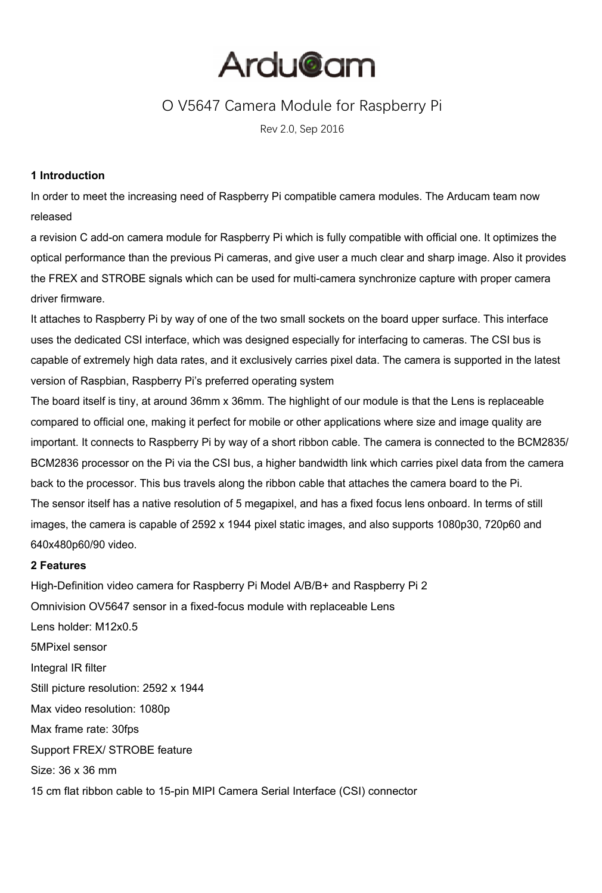

# O V5647 Camera Module for Raspberry Pi

Rev 2.0, Sep 2016

#### **1 Introduction**

In order to meet the increasing need of Raspberry Pi compatible camera modules. The Arducam team now released

a revision C add-on camera module for Raspberry Pi which is fully compatible with official one. It optimizes the optical performance than the previous Pi cameras, and give user a much clear and sharp image. Also it provides the FREX and STROBE signals which can be used for multi-camera synchronize capture with proper camera driver firmware.

It attaches to Raspberry Pi by way of one of the two small sockets on the board upper surface. This interface uses the dedicated CSI interface, which was designed especially for interfacing to cameras. The CSI bus is capable of extremely high data rates, and it exclusively carries pixel data. The camera is supported in the latest version of Raspbian, Raspberry Pi's preferred operating system

The board itself is tiny, at around 36mm x 36mm. The highlight of our module is that the Lens is replaceable compared to official one, making it perfect for mobile or other applications where size and image quality are important. It connects to Raspberry Pi by way of a short ribbon cable. The camera is connected to the BCM2835/ BCM2836 processor on the Pi via the CSI bus, a higher bandwidth link which carries pixel data from the camera back to the processor. This bus travels along the ribbon cable that attaches the camera board to the Pi. The sensor itself has a native resolution of 5 megapixel, and has a fixed focus lens onboard. In terms of still images, the camera is capable of 2592 x 1944 pixel static images, and also supports 1080p30, 720p60 and 640x480p60/90 video.

#### **2 Features**

High-Definition video camera for Raspberry Pi Model A/B/B+ and Raspberry Pi 2 Omnivision OV5647 sensor in a fixed-focus module with replaceable Lens Lens holder: M12x0.5 5MPixel sensor Integral IR filter Still picture resolution: 2592 x 1944 Max video resolution: 1080p Max frame rate: 30fps Support FREX/ STROBE feature Size: 36 x 36 mm 15 cm flat ribbon cable to 15-pin MIPI Camera Serial Interface (CSI) connector